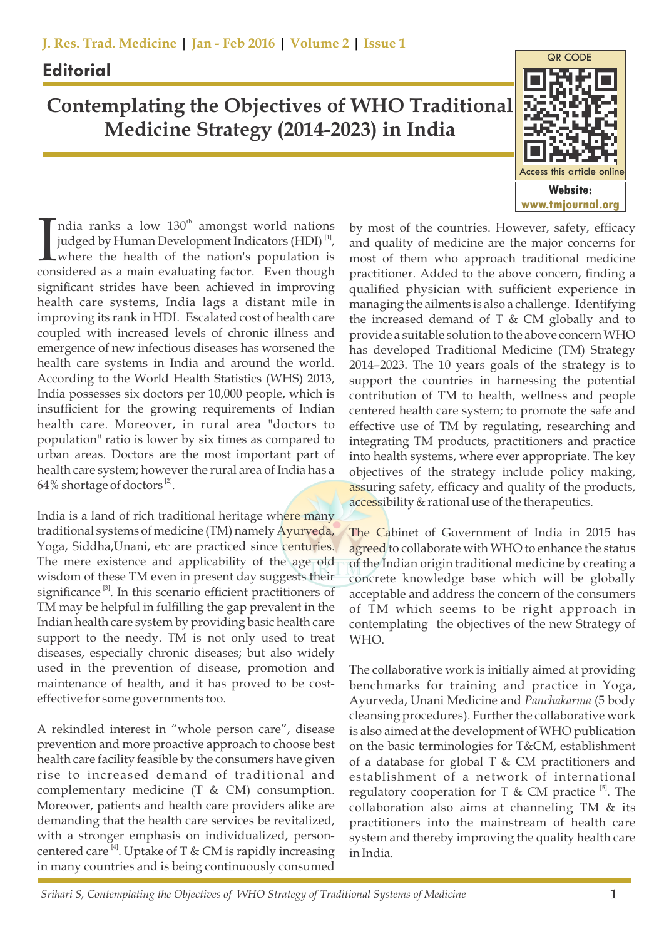## **Editorial**

## **Contemplating the Objectives of WHO Traditional Medicine Strategy (2014-2023) in India**



India ranks a low  $130^{\text{th}}$  amongst world nations judged by Human Development Indicators (HDI)<sup>[1]</sup>, where the health of the nation's population is considered as a main evaluating factor. Even though judged by Human Development Indicators  $(HDI)^{[1]}$ , where the health of the nation's population is considered as a main evaluating factor. Even though significant strides have been achieved in improving health care systems, India lags a distant mile in improving its rank in HDI. Escalated cost of health care coupled with increased levels of chronic illness and emergence of new infectious diseases has worsened the health care systems in India and around the world. According to the World Health Statistics (WHS) 2013, India possesses six doctors per 10,000 people, which is insufficient for the growing requirements of Indian health care. Moreover, in rural area "doctors to population" ratio is lower by six times as compared to urban areas. Doctors are the most important part of health care system; however the rural area of India has a  $64\%$  shortage of doctors  $^{[2]}$ .

India is a land of rich traditional heritage where many traditional systems of medicine (TM) namely Ayurveda, Yoga, Siddha,Unani, etc are practiced since centuries. The mere existence and applicability of the age old wisdom of these TM even in present day suggests their significance  $[3]$ . In this scenario efficient practitioners of TM may be helpful in fulfilling the gap prevalent in the Indian health care system by providing basic health care support to the needy. TM is not only used to treat diseases, especially chronic diseases; but also widely used in the prevention of disease, promotion and maintenance of health, and it has proved to be costeffective for some governments too.

A rekindled interest in "whole person care", disease prevention and more proactive approach to choose best health care facility feasible by the consumers have given rise to increased demand of traditional and complementary medicine (T & CM) consumption. Moreover, patients and health care providers alike are demanding that the health care services be revitalized, with a stronger emphasis on individualized, person centered care  $[4]$ . Uptake of T & CM is rapidly increasing in many countries and is being continuously consumed by most of the countries. However, safety, efficacy and quality of medicine are the major concerns for most of them who approach traditional medicine practitioner. Added to the above concern, finding a qualified physician with sufficient experience in managing the ailments is also a challenge. Identifying the increased demand of  $T \& CM$  globally and to provide a suitable solution to the above concern WHO has developed Traditional Medicine (TM) Strategy 2014–2023. The 10 years goals of the strategy is to support the countries in harnessing the potential contribution of TM to health, wellness and people centered health care system; to promote the safe and effective use of TM by regulating, researching and integrating TM products, practitioners and practice into health systems, where ever appropriate. The key objectives of the strategy include policy making, assuring safety, efficacy and quality of the products, accessibility & rational use of the therapeutics.

The Cabinet of Government of India in 2015 has agreed to collaborate with WHO to enhance the status of the Indian origin traditional medicine by creating a concrete knowledge base which will be globally acceptable and address the concern of the consumers of TM which seems to be right approach in contemplating the objectives of the new Strategy of WHO.

The collaborative work is initially aimed at providing benchmarks for training and practice in Yoga, Ayurveda, Unani Medicine and *Panchakarma* (5 body cleansing procedures). Further the collaborative work is also aimed at the development of WHO publication on the basic terminologies for T&CM, establishment of a database for global  $T \& CM$  practitioners and establishment of a network of international regulatory cooperation for T & CM practice  $[5]$ . The collaboration also aims at channeling TM & its practitioners into the mainstream of health care system and thereby improving the quality health care in India.

 *Srihari S, Contemplating the Objectives of WHO Strategy of Traditional Systems of Medicine* **1**